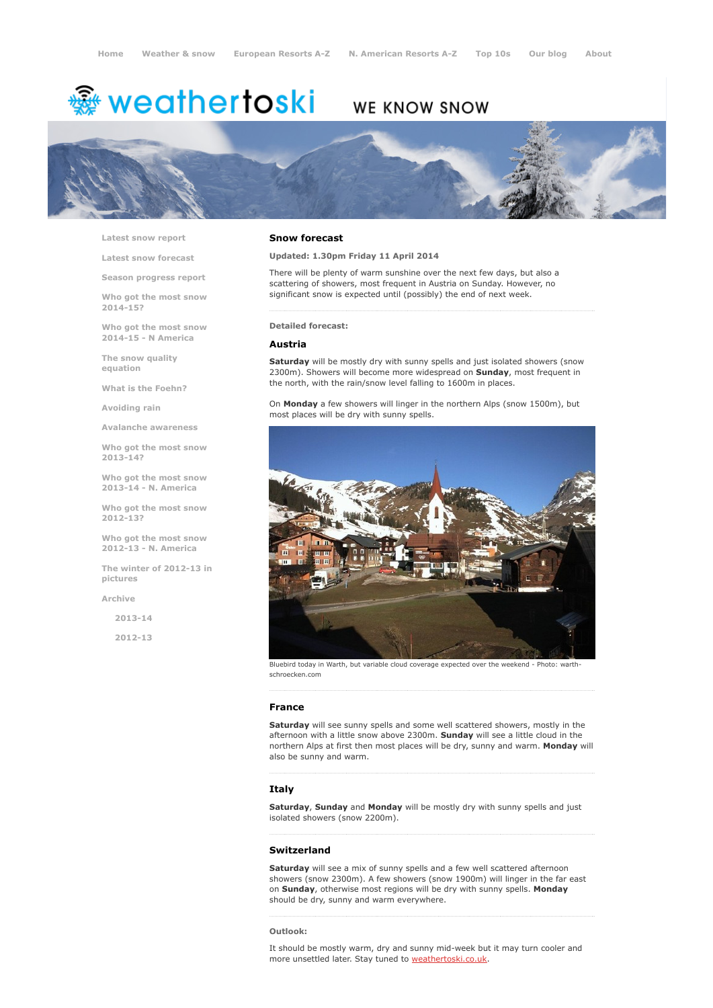# <del>鑾</del> weathertoski

# WE KNOW SNOW



Latest snow [report](http://www.weathertoski.co.uk/weather-snow/latest-snow-report/)

Latest snow [forecast](http://www.weathertoski.co.uk/weather-snow/latest-snow-forecast/)

Season [progress](http://www.weathertoski.co.uk/weather-snow/season-progress-report/) report

Who got the most snow 2014-15?

Who got the most snow 2014-15 - N America

The snow quality [equation](http://www.weathertoski.co.uk/weather-snow/the-snow-quality-equation/)

What is the [Foehn?](http://www.weathertoski.co.uk/weather-snow/what-is-the-foehn/)

[Avoiding](http://www.weathertoski.co.uk/weather-snow/avoiding-rain/) rain

Avalanche [awareness](http://www.weathertoski.co.uk/weather-snow/avalanche-awareness/)

Who got the most snow 2013-14?

Who got the most snow 2013-14 - N. America

Who got the most snow 2012-13?

Who got the most snow 2012-13 - N. America

The winter of 2012-13 in pictures

[Archive](http://www.weathertoski.co.uk/weather-snow/archive/)

 $2013 - 14$ 

2012-13

### Snow forecast

Updated: 1.30pm Friday 11 April 2014

There will be plenty of warm sunshine over the next few days, but also a scattering of showers, most frequent in Austria on Sunday. However, no significant snow is expected until (possibly) the end of next week.

Detailed forecast:

#### Austria

Saturday will be mostly dry with sunny spells and just isolated showers (snow 2300m). Showers will become more widespread on Sunday, most frequent in the north, with the rain/snow level falling to 1600m in places.

On Monday a few showers will linger in the northern Alps (snow 1500m), but most places will be dry with sunny spells.



Bluebird today in Warth, but variable cloud coverage expected over the weekend - Photo: warthschroecken.com

## France

Saturday will see sunny spells and some well scattered showers, mostly in the afternoon with a little snow above 2300m. Sunday will see a little cloud in the northern Alps at first then most places will be dry, sunny and warm. Monday will also be sunny and warm.

# Italy

Saturday, Sunday and Monday will be mostly dry with sunny spells and just isolated showers (snow 2200m).

#### Switzerland

Saturday will see a mix of sunny spells and a few well scattered afternoon showers (snow 2300m). A few showers (snow 1900m) will linger in the far east on Sunday, otherwise most regions will be dry with sunny spells. Monday should be dry, sunny and warm everywhere.

#### Outlook:

It should be mostly warm, dry and sunny mid-week but it may turn cooler and more unsettled later. Stay tuned to **[weathertoski.co.uk](http://www.weathertoski.co.uk/weather-snow)**.